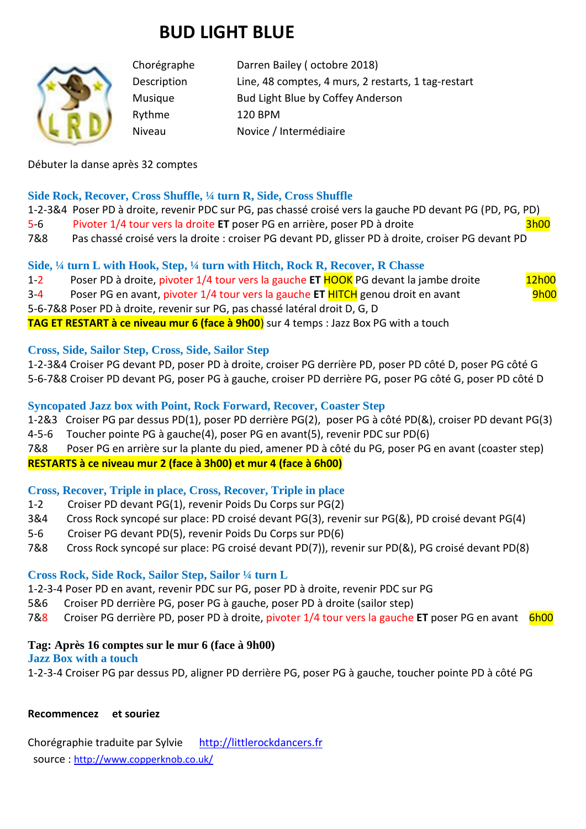# **BUD LIGHT BLUE**



Chorégraphe Darren Bailey ( octobre 2018) Description Line, 48 comptes, 4 murs, 2 restarts, 1 tag-restart Musique Bud Light Blue by Coffey Anderson Rythme 120 BPM Niveau Novice / Intermédiaire

Débuter la danse après 32 comptes

## **Side Rock, Recover, Cross Shuffle, ¼ turn R, Side, Cross Shuffle**

1-2-3&4 Poser PD à droite, revenir PDC sur PG, pas chassé croisé vers la gauche PD devant PG (PD, PG, PD)

5-6 Pivoter 1/4 tour vers la droite **ET** poser PG en arrière, poser PD à droite 3h00

7&8 Pas chassé croisé vers la droite : croiser PG devant PD, glisser PD à droite, croiser PG devant PD

## **Side, ¼ turn L with Hook, Step, ¼ turn with Hitch, Rock R, Recover, R Chasse**

1-2 Poser PD à droite, pivoter 1/4 tour vers la gauche **ET** HOOK PG devant la jambe droite 12h00

3-4 Poser PG en avant, pivoter 1/4 tour vers la gauche **ET** HITCH genou droit en avant 9h00

5-6-7&8 Poser PD à droite, revenir sur PG, pas chassé latéral droit D, G, D

**TAG ET RESTART à ce niveau mur 6 (face à 9h00**) sur 4 temps : Jazz Box PG with a touch

## **Cross, Side, Sailor Step, Cross, Side, Sailor Step**

1-2-3&4 Croiser PG devant PD, poser PD à droite, croiser PG derrière PD, poser PD côté D, poser PG côté G 5-6-7&8 Croiser PD devant PG, poser PG à gauche, croiser PD derrière PG, poser PG côté G, poser PD côté D

## **Syncopated Jazz box with Point, Rock Forward, Recover, Coaster Step**

1-2&3 Croiser PG par dessus PD(1), poser PD derrière PG(2), poser PG à côté PD(&), croiser PD devant PG(3) 4-5-6 Toucher pointe PG à gauche(4), poser PG en avant(5), revenir PDC sur PD(6)

7&8 Poser PG en arrière sur la plante du pied, amener PD à côté du PG, poser PG en avant (coaster step)

## **RESTARTS à ce niveau mur 2 (face à 3h00) et mur 4 (face à 6h00)**

## **Cross, Recover, Triple in place, Cross, Recover, Triple in place**

- 1-2 Croiser PD devant PG(1), revenir Poids Du Corps sur PG(2)
- 3&4 Cross Rock syncopé sur place: PD croisé devant PG(3), revenir sur PG(&), PD croisé devant PG(4)
- 5-6 Croiser PG devant PD(5), revenir Poids Du Corps sur PD(6)
- 7&8 Cross Rock syncopé sur place: PG croisé devant PD(7)), revenir sur PD(&), PG croisé devant PD(8)

## **Cross Rock, Side Rock, Sailor Step, Sailor ¼ turn L**

1-2-3-4 Poser PD en avant, revenir PDC sur PG, poser PD à droite, revenir PDC sur PG

5&6 Croiser PD derrière PG, poser PG à gauche, poser PD à droite (sailor step)

7&8 Croiser PG derrière PD, poser PD à droite, pivoter 1/4 tour vers la gauche **ET** poser PG en avant 6h00

## **Tag: Après 16 comptes sur le mur 6 (face à 9h00)**

## **Jazz Box with a touch**

1-2-3-4 Croiser PG par dessus PD, aligner PD derrière PG, poser PG à gauche, toucher pointe PD à côté PG

## **Recommencez et souriez**

Chorégraphie traduite par Sylvie [http://littlerockdancers.fr](http://littlerockdancers.fr/)  source : [http://www.copperknob.co.uk/](https://www.copperknob.co.uk/)